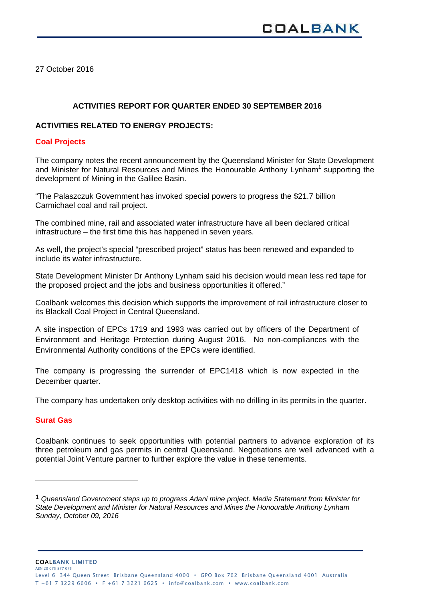27 October 2016

# **ACTIVITIES REPORT FOR QUARTER ENDED 30 SEPTEMBER 2016**

## **ACTIVITIES RELATED TO ENERGY PROJECTS:**

## **Coal Projects**

The company notes the recent announcement by the Queensland Minister for State Development and Minister for Natural Resources and Mines the Honourable Anthony Lynham<sup>1</sup> supporting the development of Mining in the Galilee Basin.

"The Palaszczuk Government has invoked special powers to progress the \$21.7 billion Carmichael coal and rail project.

The combined mine, rail and associated water infrastructure have all been declared critical infrastructure – the first time this has happened in seven years.

As well, the project's special "prescribed project" status has been renewed and expanded to include its water infrastructure.

State Development Minister Dr Anthony Lynham said his decision would mean less red tape for the proposed project and the jobs and business opportunities it offered."

Coalbank welcomes this decision which supports the improvement of rail infrastructure closer to its Blackall Coal Project in Central Queensland.

A site inspection of EPCs 1719 and 1993 was carried out by officers of the Department of Environment and Heritage Protection during August 2016. No non-compliances with the Environmental Authority conditions of the EPCs were identified.

The company is progressing the surrender of EPC1418 which is now expected in the December quarter.

The company has undertaken only desktop activities with no drilling in its permits in the quarter.

# **Surat Gas**

Coalbank continues to seek opportunities with potential partners to advance exploration of its three petroleum and gas permits in central Queensland. Negotiations are well advanced with a potential Joint Venture partner to further explore the value in these tenements.

COALBANK LIMITED ARN 20 075 877 075

**<sup>1</sup>** *Queensland Government steps up to progress Adani mine project. Media Statement from Minister for State Development and Minister for Natural Resources and Mines the Honourable Anthony Lynham Sunday, October 09, 2016*